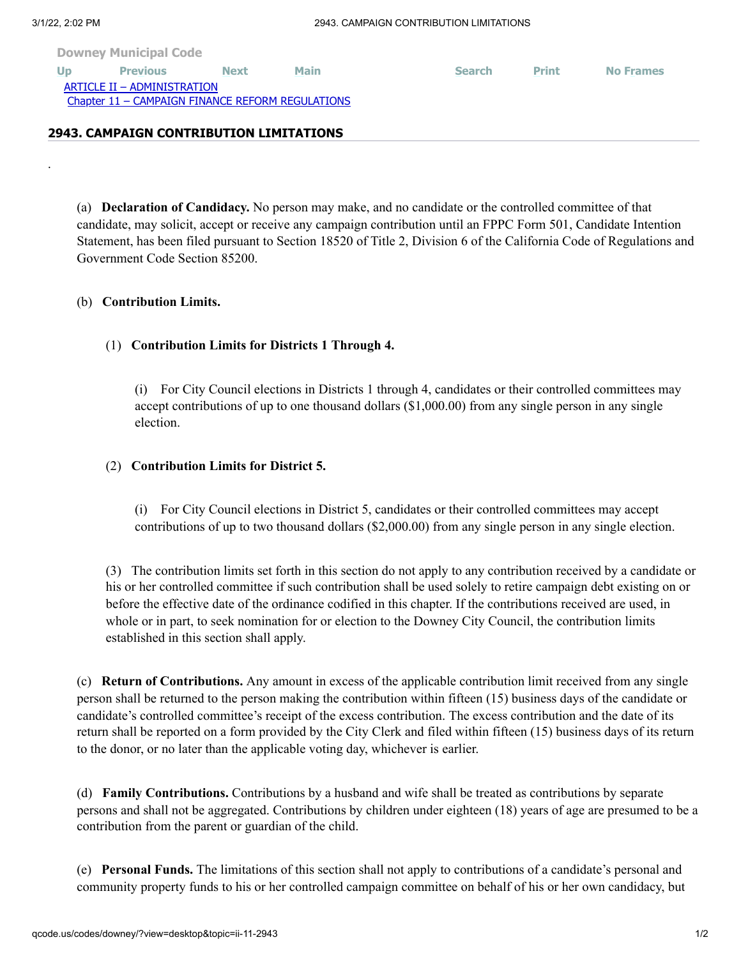.

|  | <b>Downey Municipal Code</b> |  |  |  |  |
|--|------------------------------|--|--|--|--|
|--|------------------------------|--|--|--|--|

**[Up](http://qcode.us/codes/downey/view.php?topic=ii-11&frames=on) [Previous](http://qcode.us/codes/downey/view.php?topic=ii-11-section&frames=on) [Next](http://qcode.us/codes/downey/view.php?topic=ii-11-2944&frames=on) [Main](http://qcode.us/codes/downey/view.php?frames=on) [Search](http://qcode.us/codes/downey/search.php?frames=on) [Print](javascript:self.print();) [No Frames](http://qcode.us/codes/downey/view.php?topic=ii-11-2943&frames=off)** [ARTICLE II – ADMINISTRATION](http://qcode.us/codes/downey/view.php?topic=ii&frames=on) [Chapter 11 – CAMPAIGN FINANCE REFORM REGULATIONS](http://qcode.us/codes/downey/view.php?topic=ii-11&frames=on) **2943. CAMPAIGN CONTRIBUTION LIMITATIONS**

(a) **Declaration of Candidacy.** No person may make, and no candidate or the controlled committee of that candidate, may solicit, accept or receive any campaign contribution until an FPPC Form 501, Candidate Intention Statement, has been filed pursuant to Section 18520 of Title 2, Division 6 of the California Code of Regulations and Government Code Section 85200.

## (b) **Contribution Limits.**

## (1) **Contribution Limits for Districts 1 Through 4.**

(i) For City Council elections in Districts 1 through 4, candidates or their controlled committees may accept contributions of up to one thousand dollars (\$1,000.00) from any single person in any single election.

## (2) **Contribution Limits for District 5.**

(i) For City Council elections in District 5, candidates or their controlled committees may accept contributions of up to two thousand dollars (\$2,000.00) from any single person in any single election.

(3) The contribution limits set forth in this section do not apply to any contribution received by a candidate or his or her controlled committee if such contribution shall be used solely to retire campaign debt existing on or before the effective date of the ordinance codified in this chapter. If the contributions received are used, in whole or in part, to seek nomination for or election to the Downey City Council, the contribution limits established in this section shall apply.

(c) **Return of Contributions.** Any amount in excess of the applicable contribution limit received from any single person shall be returned to the person making the contribution within fifteen (15) business days of the candidate or candidate's controlled committee's receipt of the excess contribution. The excess contribution and the date of its return shall be reported on a form provided by the City Clerk and filed within fifteen (15) business days of its return to the donor, or no later than the applicable voting day, whichever is earlier.

(d) **Family Contributions.** Contributions by a husband and wife shall be treated as contributions by separate persons and shall not be aggregated. Contributions by children under eighteen (18) years of age are presumed to be a contribution from the parent or guardian of the child.

(e) **Personal Funds.** The limitations of this section shall not apply to contributions of a candidate's personal and community property funds to his or her controlled campaign committee on behalf of his or her own candidacy, but